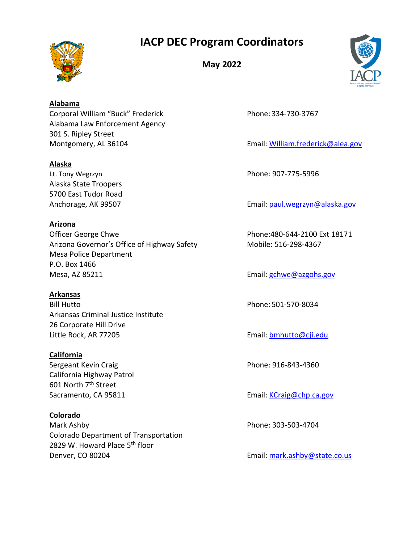# **IACP DEC Program Coordinators**



**May 2022**



**Alabama** Corporal William "Buck" Frederick Phone: 334-730-3767 Alabama Law Enforcement Agency 301 S. Ripley Street Montgomery, AL 36104 **Email: [William.frederick@alea.gov](mailto:William.frederick@alea.gov)** 

## **Alaska**

Lt. Tony Wegrzyn **Phone: 907-775-5996** Alaska State Troopers 5700 East Tudor Road

## **Arizona**

Officer George Chwe **Phone:480-644-2100 Ext 18171** Arizona Governor's Office of Highway Safety Mobile: 516-298-4367 Mesa Police Department P.O. Box 1466 Mesa, AZ 85211 **Email:** [gchwe@azgohs.gov](mailto:gchwe@azgohs.gov)

## **Arkansas**

Bill Hutto Phone: 501-570-8034 Arkansas Criminal Justice Institute 26 Corporate Hill Drive Little Rock, AR 77205 Email: [bmhutto@cji.edu](mailto:bmhutto@cji.edu)

### **California**

Sergeant Kevin Craig **Phone: 916-843-4360** California Highway Patrol 601 North 7<sup>th</sup> Street

## **Colorado**

Mark Ashby Phone: 303-503-4704 Colorado Department of Transportation 2829 W. Howard Place 5<sup>th</sup> floor Denver, CO 80204 **Email:** [mark.ashby@state.co.us](mailto:mark.ashby@state.co.us)

Anchorage, AK 99507 **Email:** [paul.wegrzyn@alaska.gov](mailto:paul.wergzyn@alaska.gov)

Sacramento, CA 95811 **Email: [KCraig@chp.ca.gov](mailto:KCraig@chp.ca.gov)**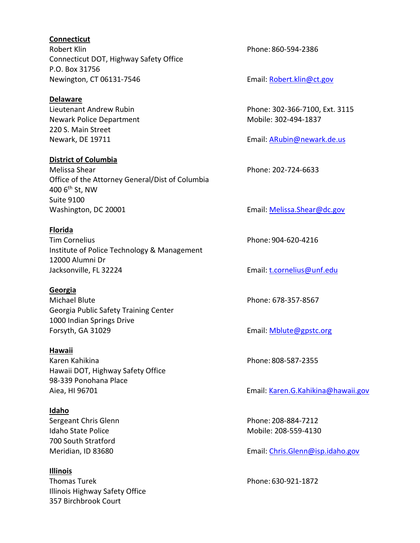#### **Connecticut**

Robert Klin **Robert Klin** Phone: 860-594-2386 Connecticut DOT, Highway Safety Office P.O. Box 31756 Newington, CT 06131-7546 Email: Robert.klin@ct.gov

#### **Delaware**

Newark Police Department Mobile: 302-494-1837 220 S. Main Street

#### **District of Columbia**

Melissa Shear **Phone: 202-724-6633** Office of the Attorney General/Dist of Columbia 400 6th St, NW Suite 9100 Washington, DC 20001 **Email: [Melissa.Shear@dc.gov](mailto:Melissa.Shear@dc.gov)** Email: Melissa.Shear@dc.gov

#### **Florida**

Tim Cornelius **Phone: 904-620-4216** Institute of Police Technology & Management 12000 Alumni Dr Jacksonville, FL 32224 Email: [t.cornelius@unf.edu](mailto:t.cornelius@unf.edu)

#### **Georgia**

Michael Blute Phone: 678-357-8567 Georgia Public Safety Training Center 1000 Indian Springs Drive Forsyth, GA 31029 **Email:** [Mblute@gpstc.org](mailto:Mblute@gpstc.org)

#### **Hawaii**

Karen Kahikina Phone: 808-587-2355 Hawaii DOT, Highway Safety Office 98-339 Ponohana Place

#### **Idaho**

700 South Stratford

**Illinois** Thomas Turek **Phone: 630-921-1872** Illinois Highway Safety Office 357 Birchbrook Court

Lieutenant Andrew Rubin **Phone: 302-366-7100, Ext. 3115** 

Newark, DE 19711 **Email: [ARubin@newark.de.us](mailto:ARubin@newark.de.us)** 

Aiea, HI 96701 **Email: [Karen.G.Kahikina@hawaii.gov](mailto:Karen.G.Kahikina@hawaii.gov)** 

Sergeant Chris Glenn **Phone: 208-884-7212** Idaho State Police **Mobile: 208-559-4130** 

Meridian, ID 83680 Email: [Chris.Glenn@isp.idaho.gov](mailto:Chris.Glenn@isp.idaho.gov)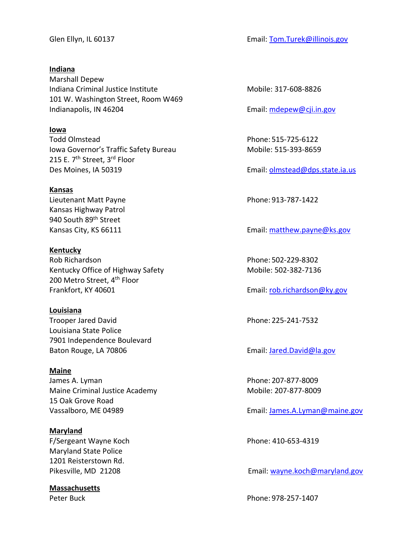**Indiana** Marshall Depew Indiana Criminal Justice Institute Mobile: 317-608-8826 101 W. Washington Street, Room W469 Indianapolis, IN 46204 **Email:** metapolis, IN 46204

**Iowa**

Todd Olmstead Phone: 515-725-6122 Iowa Governor's Traffic Safety Bureau Mobile: 515-393-8659 215 E. 7<sup>th</sup> Street, 3<sup>rd</sup> Floor Des Moines, IA 50319 **Email:** [olmstead@dps.state.ia.us](mailto:olmstead@dps.state.ia.us)

#### **Kansas**

Lieutenant Matt Payne **Phone: 913-787-1422** Kansas Highway Patrol 940 South 89<sup>th</sup> Street

**Kentucky** Rob Richardson **Phone: 502-229-8302** Kentucky Office of Highway Safety Mobile: 502-382-7136 200 Metro Street, 4<sup>th</sup> Floor Frankfort, KY 40601 **Email:** rob.richardson@ky.gov

**Louisiana**

Trooper Jared David **Phone: 225-241-7532** Louisiana State Police 7901 Independence Boulevard Baton Rouge, LA 70806 **Email:** [Jared.David@la.gov](mailto:Jared.David@la.gov)

#### **Maine**

James A. Lyman **Phone: 207-877-8009** Maine Criminal Justice Academy Mobile: 207-877-8009 15 Oak Grove Road

**Maryland** F/Sergeant Wayne Koch Phone: 410-653-4319 Maryland State Police 1201 Reisterstown Rd.

**Massachusetts**

Glen Ellyn, IL 60137 **Email: [Tom.Turek@illinois.gov](mailto:Tom.Turek@illinois.gov)** Email: Tom.Turek@illinois.gov

Kansas City, KS 66111 **Email: [matthew.payne@ks.gov](mailto:matthew.payne@ks.gov)** 

Vassalboro, ME 04989 **Email:** [James.A.Lyman@maine.gov](mailto:James.A.Lyman@maine.gov)

Pikesville, MD 21208 **Email:** [wayne.koch@maryland.gov](mailto:wayne.koch@maryland.gov)

Peter Buck Peter Buck Phone: 978-257-1407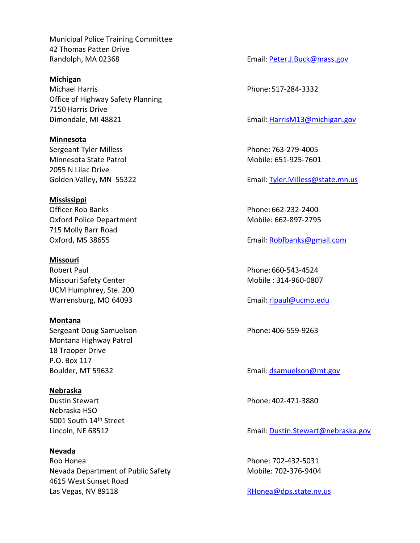Municipal Police Training Committee 42 Thomas Patten Drive Randolph, MA 02368 **Email:** [Peter.J.Buck@mass.gov](mailto:Peter.J.Buck@mass.gov)

**Michigan** Michael Harris Phone: 517-284-3332 Office of Highway Safety Planning 7150 Harris Drive Dimondale, MI 48821 **Email: HarrisM13@michigan.gov** 

**Minnesota** Sergeant Tyler Milless **Phone: 763-279-4005** Minnesota State Patrol Mobile: 651-925-7601 2055 N Lilac Drive

**Mississippi** Officer Rob Banks **Phone: 662-232-2400** Oxford Police Department Mobile: 662-897-2795 715 Molly Barr Road

**Missouri** Robert Paul Phone: 660-543-4524 Missouri Safety Center Mobile : 314-960-0807 UCM Humphrey, Ste. 200 Warrensburg, MO 64093 **Email:** [rlpaul@ucmo.edu](mailto:rlpaul@ucmo.edu)

**Montana** Sergeant Doug Samuelson **Phone: 406-559-9263** Montana Highway Patrol 18 Trooper Drive P.O. Box 117 Boulder, MT 59632 **Email:** documents on the setting product of the setting of the setting product of the setting product of the setting product of the setting product of the setting product of the setting product of the se

**Nebraska** Dustin Stewart **Phone: 402-471-3880** Nebraska HSO 5001 South 14th Street

**Nevada** Rob Honea Phone: 702-432-5031 Nevada Department of Public Safety Mobile: 702-376-9404 4615 West Sunset Road Las Vegas, NV 89118 and the Contract of the Research [RHonea@dps.state.nv.us](mailto:RHonea@dps.state.nv.us)

Golden Valley, MN 55322 **Email:** [Tyler.Milless@state.mn.us](mailto:Tyler.Milless@state.mn.us)

Oxford, MS 38655 Email: [Robfbanks@gmail.com](mailto:Robfbanks@gmail.com)

Lincoln, NE 68512 **Email:** [Dustin.Stewart@nebraska.gov](mailto:Dustin.Stewart@nebraska.gov)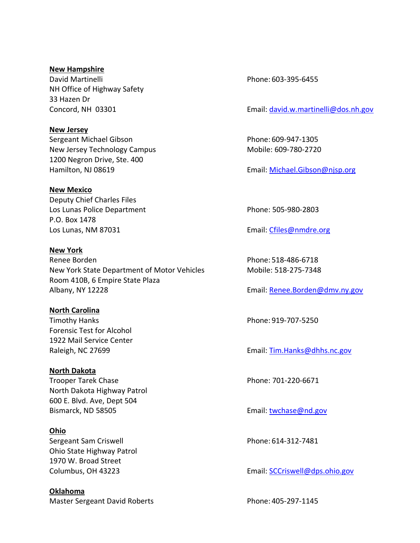**New Hampshire** David Martinelli **Phone: 603-395-6455** NH Office of Highway Safety 33 Hazen Dr

**New Jersey** Sergeant Michael Gibson **Phone: 609-947-1305** New Jersey Technology Campus Mobile: 609-780-2720 1200 Negron Drive, Ste. 400 Hamilton, NJ 08619 **Email:** [Michael.Gibson@njsp.org](mailto:Michael.Gibson@njsp.org)

#### **New Mexico**

Deputy Chief Charles Files Los Lunas Police Department **Phone: 505-980-2803** P.O. Box 1478 Los Lunas, NM 87031 Email: [Cfiles@nmdre.org](mailto:Cfiles@nmdre.org) 

**New York**

Renee Borden **Phone: 518-486-6718** New York State Department of Motor Vehicles Mobile: 518-275-7348 Room 410B, 6 Empire State Plaza Albany, NY 12228 **Email:** [Renee.Borden@dmv.ny.gov](mailto:Renee.Borden@dmv.ny.gov)

#### **North Carolina**

Timothy Hanks **Phone: 919-707-5250** Forensic Test for Alcohol 1922 Mail Service Center

#### **North Dakota**

Trooper Tarek Chase **Phone: 701-220-6671** North Dakota Highway Patrol 600 E. Blvd. Ave, Dept 504 Bismarck, ND 58505 Email: [twchase@nd.gov](mailto:twchase@nd.gov)

**Ohio** Sergeant Sam Criswell **Phone: 614-312-7481** Ohio State Highway Patrol 1970 W. Broad Street

**Oklahoma** Master Sergeant David Roberts **Phone: 405-297-1145** 

Concord, NH 03301 **Email:** [david.w.martinelli@dos.nh.gov](mailto:david.w.martinelli@dos.nh.gov)

Raleigh, NC 27699 **Email:** [Tim.Hanks@dhhs.nc.gov](mailto:Tim.Hanks@dhhs.nc.gov)

Columbus, OH 43223 Email: [SCCriswell@dps.ohio.gov](mailto:SCCriswell@dps.ohio.gov)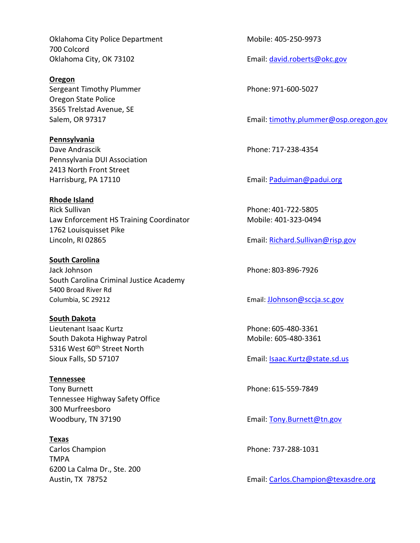Oklahoma City Police Department Mobile: 405-250-9973 700 Colcord Oklahoma City, OK 73102 **Email:** [david.roberts@okc.gov](mailto:david.roberts@okc.gov)

**Oregon** Sergeant Timothy Plummer Phone: 971-600-5027 Oregon State Police 3565 Trelstad Avenue, SE

**Pennsylvania** Dave Andrascik Phone: 717-238-4354 Pennsylvania DUI Association 2413 North Front Street Harrisburg, PA 17110 **Email:** [Paduiman@padui.org](mailto:Paduiman@padui.org)

**Rhode Island** Rick Sullivan **Phone: 401-722-5805** Law Enforcement HS Training Coordinator Mobile: 401-323-0494 1762 Louisquisset Pike Lincoln, RI 02865 Email: [Richard.Sullivan@risp.gov](mailto:Richard.Sullivan@risp.gov)

**South Carolina** Jack Johnson Phone: 803-896-7926 South Carolina Criminal Justice Academy 5400 Broad River Rd Columbia, SC 29212 Email: [JJohnson@sccja.sc.gov](mailto:JJohnson@sccja.sc.gov)

**South Dakota** Lieutenant Isaac Kurtz **Phone: 605-480-3361** South Dakota Highway Patrol Mobile: 605-480-3361 5316 West 60<sup>th</sup> Street North Sioux Falls, SD 57107 **Email: [Isaac.Kurtz@state.sd.us](mailto:Isaac.Kurtz@state.sd.us)** 

**Tennessee** Tony Burnett **Phone: 615-559-7849** Tennessee Highway Safety Office 300 Murfreesboro Woodbury, TN 37190 **Email:** [Tony.Burnett@tn.gov](mailto:Tony.Burnett@tn.gov)

**Texas** Carlos Champion Phone: 737-288-1031 TMPA 6200 La Calma Dr., Ste. 200

Salem, OR 97317 Email: [timothy.plummer@osp.oregon.gov](mailto:timothy.plummer@osp.oregon.gov)

Austin, TX 78752 Email: [Carlos.Champion@texasdre.org](mailto:Carlos.Champion@texasdre.org)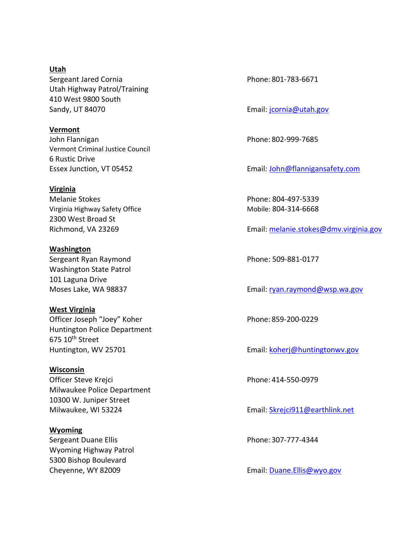**Utah** Sergeant Jared Cornia **Phone: 801-783-6671** Utah Highway Patrol/Training 410 West 9800 South Sandy, UT 84070 **Email:** [jcornia@utah.gov](mailto:jcornia@utah.gov)

**Vermont** John Flannigan Phone: 802-999-7685 Vermont Criminal Justice Council 6 Rustic Drive

**Virginia** Melanie Stokes Phone: 804-497-5339 Virginia Highway Safety Office Mobile: 804-314-6668 2300 West Broad St

**Washington** Sergeant Ryan Raymond **Phone: 509-881-0177** Washington State Patrol 101 Laguna Drive

**West Virginia** Officer Joseph "Joey" Koher Phone: 859-200-0229 Huntington Police Department 675 10<sup>th</sup> Street

**Wisconsin** Officer Steve Krejci **Phone: 414-550-0979** Milwaukee Police Department 10300 W. Juniper Street

**Wyoming** Sergeant Duane Ellis **Phone: 307-777-4344** Wyoming Highway Patrol 5300 Bishop Boulevard

Essex Junction, VT 05452 Email: [John@flannigansafety.com](mailto:John@flannigansafety.com)

Richmond, VA 23269 Email: [melanie.stokes@dmv.virginia.gov](mailto:melanie.stokes@dmv.virginia.gov)

Moses Lake, WA 98837 **Email:** register and the setting email: register and the setting example and the setting email: register and the setting example and the setting example and the setting example and the setting example

Huntington, WV 25701 **Email:** [koherj@huntingtonwv.gov](mailto:koherj@huntingtonwv.gov)

Milwaukee, WI 53224 Email: [Skrejci911@earthlink.net](mailto:Skrejci911@earthlink.net)

Cheyenne, WY 82009 **Email:** [Duane.Ellis@wyo.gov](mailto:Duane.Ellis@wyo.gov)